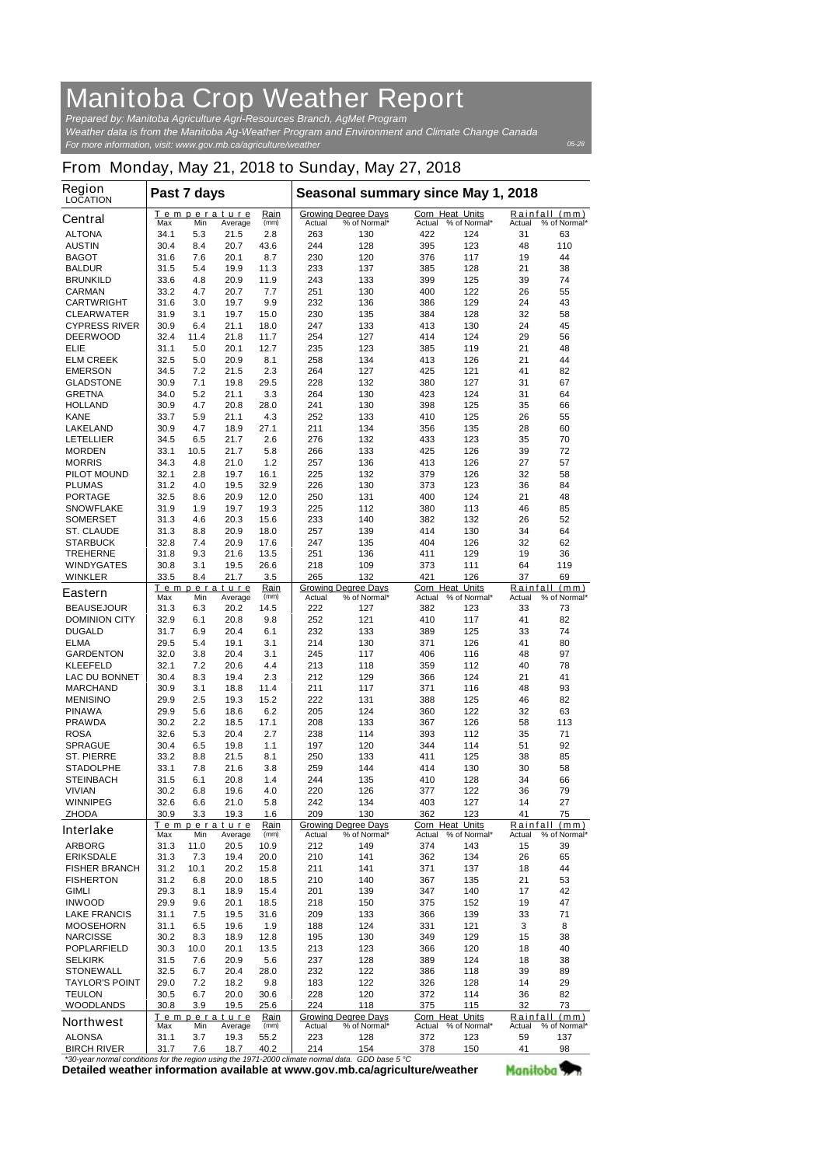## **Manitoba Crop Weather Report**

*For more information, visit: www.gov.mb.ca/agriculture/weather Prepared by: Manitoba Agriculture Agri-Resources Branch, AgMet Program Weather data is from the Manitoba Ag-Weather Program and Environment and Climate Change Canada*

*05-28*

## **From Monday, May 21, 2018 to Sunday, May 27, 2018**

| <b>Region</b><br><b>LOCATION</b>                                                                                       | Past 7 days  |                    |              |              | Seasonal summary since May 1, 2018 |                                            |                                  |                     |          |                               |
|------------------------------------------------------------------------------------------------------------------------|--------------|--------------------|--------------|--------------|------------------------------------|--------------------------------------------|----------------------------------|---------------------|----------|-------------------------------|
| <b>Central</b>                                                                                                         | Max          | Temperature<br>Min | Average      | Rain<br>(mm) | Actual                             | <b>Growing Degree Days</b><br>% of Normal* | <b>Corn Heat Units</b><br>Actual | % of Normal*        | Actual   | Rainfall (mm)<br>% of Normal* |
| <b>ALTONA</b>                                                                                                          | 34.1         | 5.3                | 21.5         | 2.8          | 263                                | 130                                        | 422                              | 124                 | 31       | 63                            |
| <b>AUSTIN</b>                                                                                                          | 30.4         | 8.4                | 20.7         | 43.6         | 244                                | 128                                        | 395                              | 123                 | 48       | 110                           |
| <b>BAGOT</b>                                                                                                           | 31.6         | 7.6                | 20.1         | 8.7          | 230                                | 120                                        | 376                              | 117                 | 19       | 44                            |
| <b>BALDUR</b>                                                                                                          | 31.5         | 5.4                | 19.9         | 11.3         | 233                                | 137                                        | 385                              | 128                 | 21       | 38                            |
| <b>BRUNKILD</b>                                                                                                        | 33.6         | 4.8                | 20.9         | 11.9         | 243                                | 133                                        | 399                              | 125                 | 39       | 74                            |
| <b>CARMAN</b>                                                                                                          | 33.2         | 4.7                | 20.7         | 7.7          | 251                                | 130                                        | 400                              | 122                 | 26       | 55                            |
| <b>CARTWRIGHT</b>                                                                                                      | 31.6         | 3.0                | 19.7         | 9.9          | 232                                | 136                                        | 386                              | 129                 | 24       | 43                            |
| <b>CLEARWATER</b>                                                                                                      | 31.9         | 3.1                | 19.7         | 15.0         | 230                                | 135                                        | 384                              | 128                 | 32       | 58                            |
| <b>CYPRESS RIVER</b>                                                                                                   | 30.9         | 6.4                | 21.1         | 18.0         | 247                                | 133                                        | 413                              | 130                 | 24       | 45                            |
| <b>DEERWOOD</b><br><b>ELIE</b>                                                                                         | 32.4<br>31.1 | 11.4<br>5.0        | 21.8         | 11.7<br>12.7 | 254                                | 127<br>123                                 | 414                              | 124                 | 29<br>21 | 56                            |
| <b>ELM CREEK</b>                                                                                                       | 32.5         | 5.0                | 20.1<br>20.9 | 8.1          | 235<br>258                         | 134                                        | 385<br>413                       | 119<br>126          | 21       | 48<br>44                      |
| <b>EMERSON</b>                                                                                                         | 34.5         | 7.2                | 21.5         | 2.3          | 264                                | 127                                        | 425                              | 121                 | 41       | 82                            |
| <b>GLADSTONE</b>                                                                                                       | 30.9         | 7.1                | 19.8         | 29.5         | 228                                | 132                                        | 380                              | 127                 | 31       | 67                            |
| <b>GRETNA</b>                                                                                                          | 34.0         | 5.2                | 21.1         | 3.3          | 264                                | 130                                        | 423                              | 124                 | 31       | 64                            |
| <b>HOLLAND</b>                                                                                                         | 30.9         | 4.7                | 20.8         | 28.0         | 241                                | 130                                        | 398                              | 125                 | 35       | 66                            |
| <b>KANE</b>                                                                                                            | 33.7         | 5.9                | 21.1         | 4.3          | 252                                | 133                                        | 410                              | 125                 | 26       | 55                            |
| <b>LAKELAND</b>                                                                                                        | 30.9         | 4.7                | 18.9         | 27.1         | 211                                | 134                                        | 356                              | 135                 | 28       | 60                            |
| <b>LETELLIER</b>                                                                                                       | 34.5         | 6.5                | 21.7         | 2.6          | 276                                | 132                                        | 433                              | 123                 | 35       | 70                            |
| <b>MORDEN</b>                                                                                                          | 33.1         | 10.5               | 21.7         | 5.8          | 266                                | 133                                        | 425                              | 126                 | 39       | 72                            |
| <b>MORRIS</b>                                                                                                          | 34.3         | 4.8                | 21.0         | 1.2          | 257                                | 136                                        | 413                              | 126                 | 27       | 57                            |
| <b>PILOT MOUND</b>                                                                                                     | 32.1         | 2.8                | 19.7         | 16.1         | 225                                | 132                                        | 379                              | 126                 | 32       | 58                            |
| <b>PLUMAS</b>                                                                                                          | 31.2         | 4.0                | 19.5         | 32.9         | 226                                | 130                                        | 373                              | 123                 | 36       | 84                            |
| <b>PORTAGE</b>                                                                                                         | 32.5         | 8.6                | 20.9         | 12.0         | 250                                | 131                                        | 400                              | 124                 | 21       | 48                            |
| <b>SNOWFLAKE</b>                                                                                                       | 31.9         | 1.9                | 19.7         | 19.3         | 225                                | 112                                        | 380                              | 113                 | 46       | 85                            |
| <b>SOMERSET</b>                                                                                                        | 31.3         | 4.6                | 20.3         | 15.6         | 233                                | 140                                        | 382                              | 132                 | 26       | 52                            |
| <b>ST. CLAUDE</b>                                                                                                      | 31.3         | 8.8                | 20.9         | 18.0         | 257                                | 139                                        | 414                              | 130                 | 34       | 64                            |
| <b>STARBUCK</b>                                                                                                        | 32.8         | 7.4                | 20.9         | 17.6         | 247                                | 135                                        | 404                              | 126                 | 32       | 62                            |
| <b>TREHERNE</b>                                                                                                        | 31.8         | 9.3                | 21.6         | 13.5         | 251                                | 136                                        | 411                              | 129                 | 19       | 36                            |
| <b>WINDYGATES</b>                                                                                                      | 30.8         | 3.1                | 19.5         | 26.6         | 218                                | 109                                        | 373                              | 111                 | 64       | 119                           |
| <b>WINKLER</b>                                                                                                         | 33.5         | 8.4                | 21.7         | 3.5          | 265                                | 132                                        | 421                              | 126                 | 37       | 69                            |
| <b>Eastern</b>                                                                                                         |              | Temperature        |              | Rain         |                                    | <b>Growing Degree Days</b>                 | <b>Corn Heat Units</b>           |                     |          | Rainfall (mm)                 |
|                                                                                                                        | Max          | Min                | Average      | (mm)         | Actual<br>222                      | % of Normal*                               | Actual                           | % of Normal*        | Actual   | % of Normal*                  |
| <b>BEAUSEJOUR</b><br><b>DOMINION CITY</b>                                                                              | 31.3<br>32.9 | 6.3<br>6.1         | 20.2<br>20.8 | 14.5<br>9.8  | 252                                | 127<br>121                                 | 382<br>410                       | 123<br>117          | 33<br>41 | 73<br>82                      |
| <b>DUGALD</b>                                                                                                          | 31.7         | 6.9                | 20.4         | 6.1          | 232                                | 133                                        | 389                              | 125                 | 33       | 74                            |
| <b>ELMA</b>                                                                                                            | 29.5         | 5.4                | 19.1         | 3.1          | 214                                | 130                                        | 371                              | 126                 | 41       | 80                            |
| <b>GARDENTON</b>                                                                                                       | 32.0         | 3.8                | 20.4         | 3.1          | 245                                | 117                                        | 406                              | 116                 | 48       | 97                            |
| <b>KLEEFELD</b>                                                                                                        | 32.1         | 7.2                | 20.6         | 4.4          | 213                                | 118                                        | 359                              | 112                 | 40       | 78                            |
| <b>LAC DU BONNET</b>                                                                                                   | 30.4         | 8.3                | 19.4         | 2.3          | 212                                | 129                                        | 366                              | 124                 | 21       | 41                            |
| <b>MARCHAND</b>                                                                                                        | 30.9         | 3.1                | 18.8         | 11.4         | 211                                | 117                                        | 371                              | 116                 | 48       | 93                            |
| <b>MENISINO</b>                                                                                                        | 29.9         | 2.5                | 19.3         | 15.2         | 222                                | 131                                        | 388                              | 125                 | 46       | 82                            |
| <b>PINAWA</b>                                                                                                          | 29.9         | 5.6                | 18.6         | 6.2          | 205                                | 124                                        | 360                              | 122                 | 32       | 63                            |
| <b>PRAWDA</b>                                                                                                          | 30.2         | 2.2                | 18.5         | 17.1         | 208                                | 133                                        | 367                              | 126                 | 58       | 113                           |
| <b>ROSA</b>                                                                                                            | 32.6         | 5.3                | 20.4         | 2.7          | 238                                | 114                                        | 393                              | 112                 | 35       | 71                            |
| <b>SPRAGUE</b>                                                                                                         | 30.4         | 6.5                | 19.8         | 1.1          | 197                                | 120                                        | 344                              | 114                 | 51       | 92                            |
| <b>ST. PIERRE</b>                                                                                                      | 33.2         | 8.8                | 21.5         | 8.1          | 250                                | 133                                        | 411                              | 125                 | 38       | 85                            |
| <b>STADOLPHE</b>                                                                                                       | 33.1         | 7.8                | 21.6         | 3.8          | 259                                | 144                                        | 414                              | 130                 | 30       | 58                            |
| <b>STEINBACH</b>                                                                                                       | 31.5         | 6.1                | 20.8         | 1.4          | 244                                | 135                                        | 410                              | 128                 | 34       | 66                            |
| <b>VIVIAN</b>                                                                                                          | 30.2         | 6.8                | 19.6         | 4.0          | 220                                | 126                                        | 377                              | 122                 | 36       | 79                            |
| <b>WINNIPEG</b>                                                                                                        | 32.6         | 6.6                | 21.0         | 5.8          | 242                                | 134                                        | 403                              | 127                 | 14       | 27                            |
| <b>ZHODA</b>                                                                                                           | 30.9         | 3.3                | 19.3         | 1.6          | 209                                | 130                                        | 362                              | 123                 | 41       | 75                            |
| <b>Interlake</b>                                                                                                       |              | Temperature        |              | Rain         |                                    | <b>Growing Degree Days</b>                 | Corn Heat Units                  |                     | Rainfall | (mm)                          |
|                                                                                                                        | Max          | Min                | Average      | (mm)         | Actual                             | % of Normal*                               |                                  | Actual % of Normal* | Actual   | % of Normal*                  |
| <b>ARBORG</b>                                                                                                          | 31.3         | 11.0               | 20.5         | 10.9         | 212                                | 149                                        | 374                              | 143                 | 15       | 39                            |
| <b>ERIKSDALE</b>                                                                                                       | 31.3         | 7.3                | 19.4         | 20.0         | 210                                | 141                                        | 362                              | 134                 | 26       | 65                            |
| <b>FISHER BRANCH</b>                                                                                                   | 31.2         | 10.1               | 20.2         | 15.8         | 211                                | 141                                        | 371                              | 137                 | 18       | 44<br>53                      |
| <b>FISHERTON</b><br><b>GIMLI</b>                                                                                       | 31.2<br>29.3 | 6.8<br>8.1         | 20.0<br>18.9 | 18.5<br>15.4 | 210<br>201                         | 140<br>139                                 | 367<br>347                       | 135<br>140          | 21<br>17 | 42                            |
| <b>INWOOD</b>                                                                                                          | 29.9         | 9.6                | 20.1         | 18.5         | 218                                | 150                                        | 375                              | 152                 | 19       | 47                            |
| <b>LAKE FRANCIS</b>                                                                                                    | 31.1         | 7.5                | 19.5         | 31.6         | 209                                | 133                                        | 366                              | 139                 | 33       | 71                            |
| <b>MOOSEHORN</b>                                                                                                       | 31.1         | 6.5                | 19.6         | 1.9          | 188                                | 124                                        | 331                              | 121                 | 3        | 8                             |
| <b>NARCISSE</b>                                                                                                        | 30.2         | 8.3                | 18.9         | 12.8         | 195                                | 130                                        | 349                              | 129                 | 15       | 38                            |
| <b>POPLARFIELD</b>                                                                                                     | 30.3         | 10.0               | 20.1         | 13.5         | 213                                | 123                                        | 366                              | 120                 | 18       | 40                            |
| <b>SELKIRK</b>                                                                                                         | 31.5         | 7.6                | 20.9         | 5.6          | 237                                | 128                                        | 389                              | 124                 | 18       | 38                            |
| <b>STONEWALL</b>                                                                                                       | 32.5         | 6.7                | 20.4         | 28.0         | 232                                | 122                                        | 386                              | 118                 | 39       | 89                            |
| <b>TAYLOR'S POINT</b>                                                                                                  | 29.0         | 7.2                | 18.2         | 9.8          | 183                                | 122                                        | 326                              | 128                 | 14       | 29                            |
| <b>TEULON</b>                                                                                                          | 30.5         | 6.7                | 20.0         | 30.6         | 228                                | 120                                        | 372                              | 114                 | 36       | 82                            |
| <b>WOODLANDS</b>                                                                                                       | 30.8         | 3.9                | 19.5         | 25.6         | 224                                | 118                                        | 375                              | 115                 | 32       | 73                            |
|                                                                                                                        |              | <u>Temperature</u> |              | <b>Rain</b>  |                                    | <b>Growing Degree Days</b>                 | Corn Heat Units                  |                     |          | Rainfall (mm)                 |
| <b>Northwest</b>                                                                                                       | Max          | Min                | Average      | (mm)         | Actual                             | % of Normal*                               | Actual                           | % of Normal*        | Actual   | % of Normal*                  |
| <b>ALONSA</b>                                                                                                          | 31.1         | 3.7                | 19.3         | 55.2         | 223                                | 128                                        | 372                              | 123                 | 59       | 137                           |
| <b>BIRCH RIVER</b><br>*30-year normal conditions for the region using the 1971-2000 climate normal data GDD base 5 °C. | 31.7         | 7.6                | 18.7         | 40.2         | 214                                | 154                                        | 378                              | 150                 | 41       | 98                            |

**Detailed weather information available at www.gov.mb.ca/agriculture/weather** *\*30-year normal conditions for the region using the 1971-2000 climate normal data. GDD base 5 °C* Manitoba<sup>y</sup>